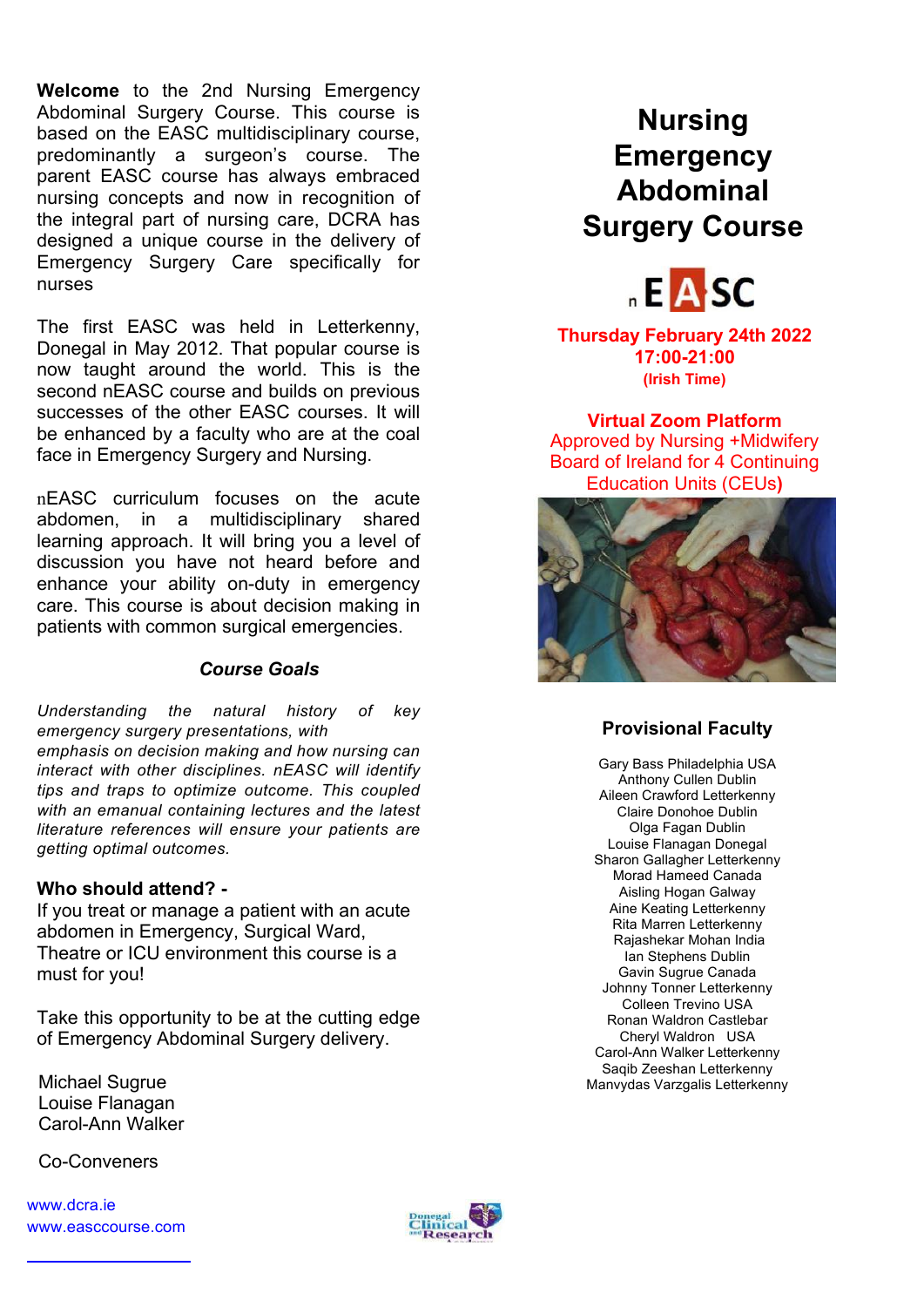**Welcome** to the 2nd Nursing Emergency Abdominal Surgery Course. This course is based on the EASC multidisciplinary course, predominantly a surgeon's course. The parent EASC course has always embraced nursing concepts and now in recognition of the integral part of nursing care, DCRA has designed a unique course in the delivery of Emergency Surgery Care specifically for nurses

The first EASC was held in Letterkenny, Donegal in May 2012. That popular course is now taught around the world. This is the second nEASC course and builds on previous successes of the other EASC courses. It will be enhanced by a faculty who are at the coal face in Emergency Surgery and Nursing.

nEASC curriculum focuses on the acute abdomen, in a multidisciplinary shared learning approach. It will bring you a level of discussion you have not heard before and enhance your ability on-duty in emergency care. This course is about decision making in patients with common surgical emergencies.

### *Course Goals*

*Understanding the natural history of key emergency surgery presentations, with emphasis on decision making and how nursing can interact with other disciplines. nEASC will identify tips and traps to optimize outcome. This coupled with an emanual containing lectures and the latest literature references will ensure your patients are getting optimal outcomes.*

### **Who should attend? -**

If you treat or manage a patient with an acute abdomen in Emergency, Surgical Ward, Theatre or ICU environment this course is a must for you!

Take this opportunity to be at the cutting edge of Emergency Abdominal Surgery delivery.

Michael Sugrue Louise Flanagan Carol-Ann Walker

Co-Conveners

www.dcra.ie www.easccourse.com

## **Nursing Emergency Abdominal Surgery Course**



**Thursday February 24th 2022 17:00-21:00 (Irish Time)**

**Virtual Zoom Platform**  Approved by Nursing +Midwifery Board of Ireland for 4 Continuing Education Units (CEUs**)**



### **Provisional Faculty**

Gary Bass Philadelphia USA Anthony Cullen Dublin Aileen Crawford Letterkenny Claire Donohoe Dublin Olga Fagan Dublin Louise Flanagan Donegal Sharon Gallagher Letterkenny Morad Hameed Canada Aisling Hogan Galway Aine Keating Letterkenny Rita Marren Letterkenny Rajashekar Mohan India Ian Stephens Dublin Gavin Sugrue Canada Johnny Tonner Letterkenny Colleen Trevino USA Ronan Waldron Castlebar Cheryl Waldron USA Carol-Ann Walker Letterkenny Saqib Zeeshan Letterkenny Manvydas Varzgalis Letterkenny